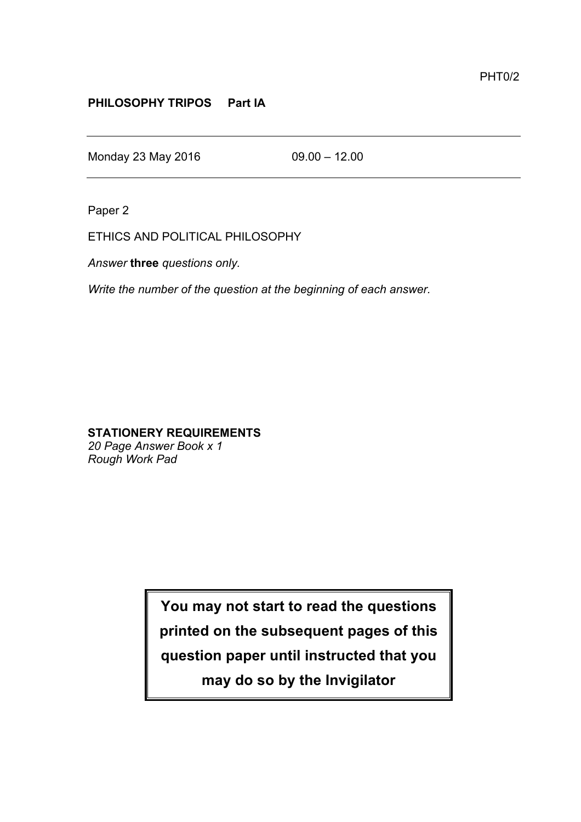## **PHILOSOPHY TRIPOS Part IA**

Monday 23 May 2016 09.00 – 12.00

Paper 2

ETHICS AND POLITICAL PHILOSOPHY

*Answer* **three** *questions only.*

*Write the number of the question at the beginning of each answer.*

## **STATIONERY REQUIREMENTS**

*20 Page Answer Book x 1 Rough Work Pad*

> **You may not start to read the questions printed on the subsequent pages of this question paper until instructed that you may do so by the Invigilator**